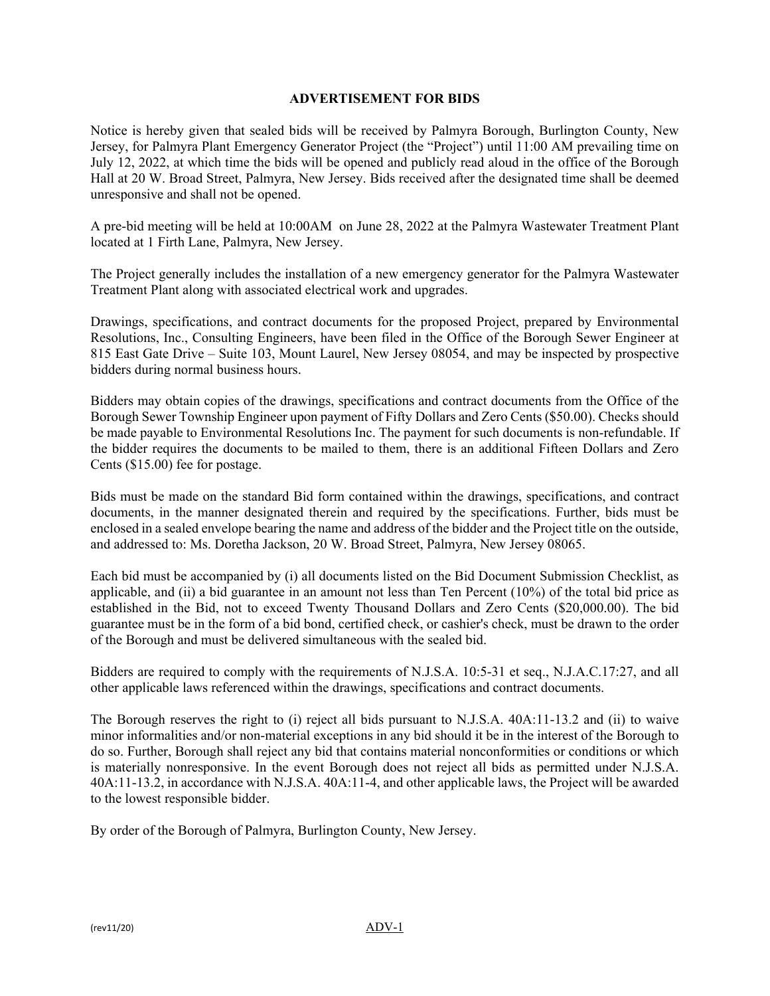## **ADVERTISEMENT FOR BIDS**

Notice is hereby given that sealed bids will be received by Palmyra Borough, Burlington County, New Jersey, for Palmyra Plant Emergency Generator Project (the "Project") until 11:00 AM prevailing time on July 12, 2022, at which time the bids will be opened and publicly read aloud in the office of the Borough Hall at 20 W. Broad Street, Palmyra, New Jersey. Bids received after the designated time shall be deemed unresponsive and shall not be opened.

A pre-bid meeting will be held at 10:00AM on June 28, 2022 at the Palmyra Wastewater Treatment Plant located at 1 Firth Lane, Palmyra, New Jersey.

The Project generally includes the installation of a new emergency generator for the Palmyra Wastewater Treatment Plant along with associated electrical work and upgrades.

Drawings, specifications, and contract documents for the proposed Project, prepared by Environmental Resolutions, Inc., Consulting Engineers, have been filed in the Office of the Borough Sewer Engineer at 815 East Gate Drive – Suite 103, Mount Laurel, New Jersey 08054, and may be inspected by prospective bidders during normal business hours.

Bidders may obtain copies of the drawings, specifications and contract documents from the Office of the Borough Sewer Township Engineer upon payment of Fifty Dollars and Zero Cents (\$50.00). Checks should be made payable to Environmental Resolutions Inc. The payment for such documents is non-refundable. If the bidder requires the documents to be mailed to them, there is an additional Fifteen Dollars and Zero Cents (\$15.00) fee for postage.

Bids must be made on the standard Bid form contained within the drawings, specifications, and contract documents, in the manner designated therein and required by the specifications. Further, bids must be enclosed in a sealed envelope bearing the name and address of the bidder and the Project title on the outside, and addressed to: Ms. Doretha Jackson, 20 W. Broad Street, Palmyra, New Jersey 08065.

Each bid must be accompanied by (i) all documents listed on the Bid Document Submission Checklist, as applicable, and (ii) a bid guarantee in an amount not less than Ten Percent (10%) of the total bid price as established in the Bid, not to exceed Twenty Thousand Dollars and Zero Cents (\$20,000.00). The bid guarantee must be in the form of a bid bond, certified check, or cashier's check, must be drawn to the order of the Borough and must be delivered simultaneous with the sealed bid.

Bidders are required to comply with the requirements of N.J.S.A. 10:5-31 et seq., N.J.A.C.17:27, and all other applicable laws referenced within the drawings, specifications and contract documents.

The Borough reserves the right to (i) reject all bids pursuant to N.J.S.A. 40A:11-13.2 and (ii) to waive minor informalities and/or non-material exceptions in any bid should it be in the interest of the Borough to do so. Further, Borough shall reject any bid that contains material nonconformities or conditions or which is materially nonresponsive. In the event Borough does not reject all bids as permitted under N.J.S.A. 40A:11-13.2, in accordance with N.J.S.A. 40A:11-4, and other applicable laws, the Project will be awarded to the lowest responsible bidder.

By order of the Borough of Palmyra, Burlington County, New Jersey.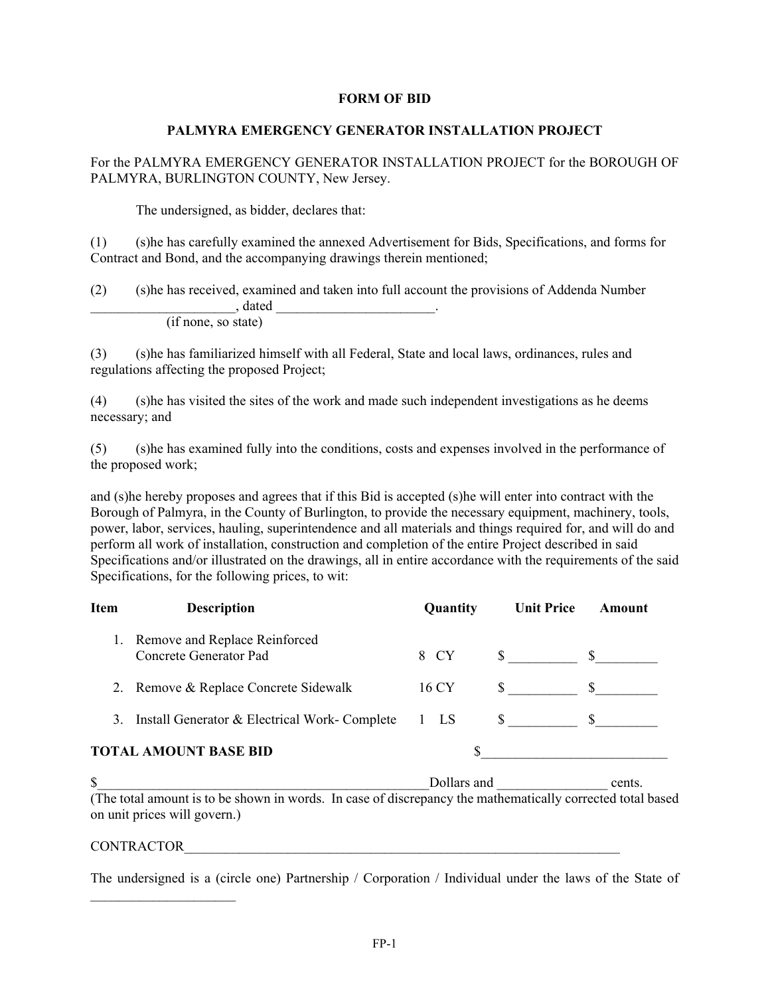## **FORM OF BID**

## **PALMYRA EMERGENCY GENERATOR INSTALLATION PROJECT**

For the PALMYRA EMERGENCY GENERATOR INSTALLATION PROJECT for the BOROUGH OF PALMYRA, BURLINGTON COUNTY, New Jersey.

The undersigned, as bidder, declares that:

(1) (s)he has carefully examined the annexed Advertisement for Bids, Specifications, and forms for Contract and Bond, and the accompanying drawings therein mentioned;

| (2) | (s) he has received, examined and taken into full account the provisions of Addenda Number |  |
|-----|--------------------------------------------------------------------------------------------|--|
|     | dated                                                                                      |  |
|     | (if none, so state)                                                                        |  |

(3) (s)he has familiarized himself with all Federal, State and local laws, ordinances, rules and regulations affecting the proposed Project;

(4) (s)he has visited the sites of the work and made such independent investigations as he deems necessary; and

(5) (s)he has examined fully into the conditions, costs and expenses involved in the performance of the proposed work;

and (s)he hereby proposes and agrees that if this Bid is accepted (s)he will enter into contract with the Borough of Palmyra, in the County of Burlington, to provide the necessary equipment, machinery, tools, power, labor, services, hauling, superintendence and all materials and things required for, and will do and perform all work of installation, construction and completion of the entire Project described in said Specifications and/or illustrated on the drawings, all in entire accordance with the requirements of the said Specifications, for the following prices, to wit:

| Item | <b>Description</b>                                         | Quantity | <b>Unit Price</b> | Amount       |
|------|------------------------------------------------------------|----------|-------------------|--------------|
|      | 1. Remove and Replace Reinforced<br>Concrete Generator Pad | 8 CY     | $\mathbb{S}$      | S.           |
|      | 2. Remove & Replace Concrete Sidewalk                      | 16 CY    | S —               | <sup>S</sup> |
|      | 3. Install Generator & Electrical Work- Complete           | $1$ LS   |                   |              |
|      | <b>TOTAL AMOUNT BASE BID</b>                               |          |                   |              |

 $\text{S}$  Dollars and cents. (The total amount is to be shown in words. In case of discrepancy the mathematically corrected total based on unit prices will govern.)

## CONTRACTOR

 $\mathcal{L}_\text{max}$  , where  $\mathcal{L}_\text{max}$ 

The undersigned is a (circle one) Partnership / Corporation / Individual under the laws of the State of